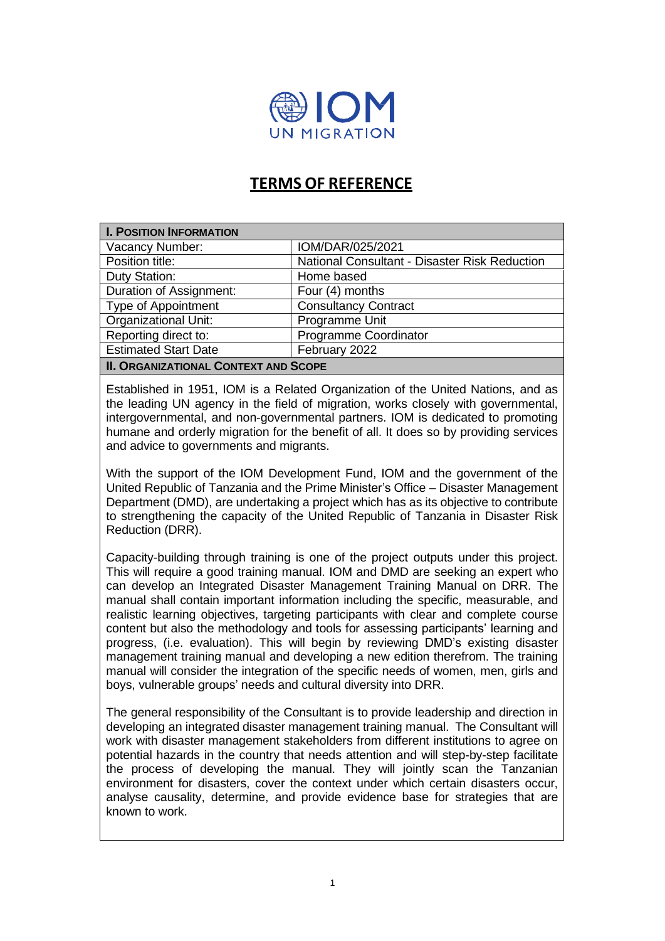

# **TERMS OF REFERENCE**

| <b>I. POSITION INFORMATION</b>              |                                               |
|---------------------------------------------|-----------------------------------------------|
| Vacancy Number:                             | IOM/DAR/025/2021                              |
| Position title:                             | National Consultant - Disaster Risk Reduction |
| Duty Station:                               | Home based                                    |
| Duration of Assignment:                     | Four (4) months                               |
| <b>Type of Appointment</b>                  | <b>Consultancy Contract</b>                   |
| <b>Organizational Unit:</b>                 | Programme Unit                                |
| Reporting direct to:                        | Programme Coordinator                         |
| <b>Estimated Start Date</b>                 | February 2022                                 |
| <b>II. ORGANIZATIONAL CONTEXT AND SCOPE</b> |                                               |

Established in 1951, IOM is a Related Organization of the United Nations, and as the leading UN agency in the field of migration, works closely with governmental, intergovernmental, and non-governmental partners. IOM is dedicated to promoting humane and orderly migration for the benefit of all. It does so by providing services and advice to governments and migrants.

With the support of the IOM Development Fund, IOM and the government of the United Republic of Tanzania and the Prime Minister's Office – Disaster Management Department (DMD), are undertaking a project which has as its objective to contribute to strengthening the capacity of the United Republic of Tanzania in Disaster Risk Reduction (DRR).

Capacity-building through training is one of the project outputs under this project. This will require a good training manual. IOM and DMD are seeking an expert who can develop an Integrated Disaster Management Training Manual on DRR. The manual shall contain important information including the specific, measurable, and realistic learning objectives, targeting participants with clear and complete course content but also the methodology and tools for assessing participants' learning and progress, (i.e. evaluation). This will begin by reviewing DMD's existing disaster management training manual and developing a new edition therefrom. The training manual will consider the integration of the specific needs of women, men, girls and boys, vulnerable groups' needs and cultural diversity into DRR.

The general responsibility of the Consultant is to provide leadership and direction in developing an integrated disaster management training manual. The Consultant will work with disaster management stakeholders from different institutions to agree on potential hazards in the country that needs attention and will step-by-step facilitate the process of developing the manual. They will jointly scan the Tanzanian environment for disasters, cover the context under which certain disasters occur, analyse causality, determine, and provide evidence base for strategies that are known to work.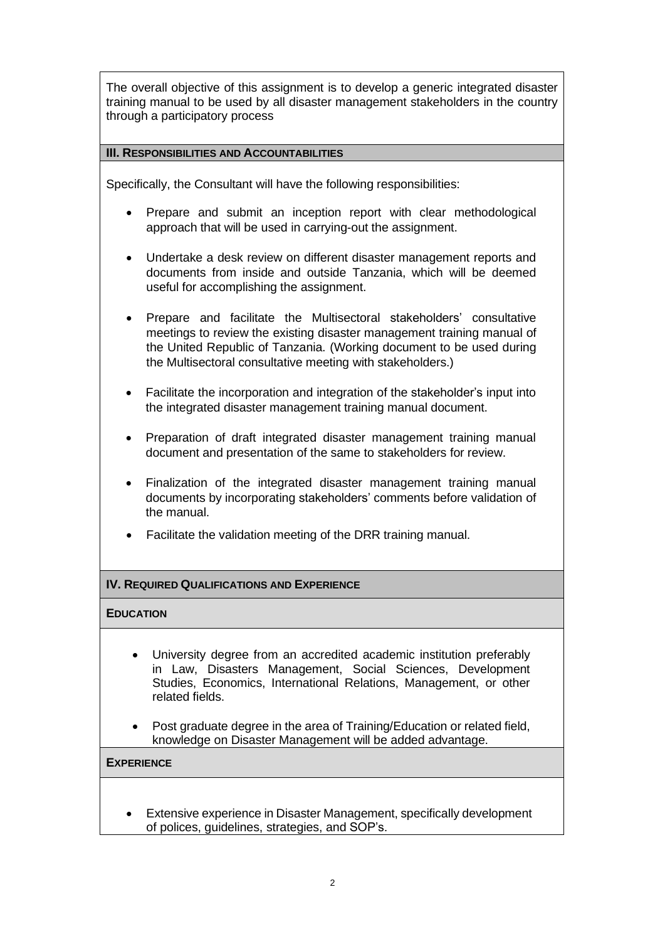The overall objective of this assignment is to develop a generic integrated disaster training manual to be used by all disaster management stakeholders in the country through a participatory process

## **III. RESPONSIBILITIES AND ACCOUNTABILITIES**

Specifically, the Consultant will have the following responsibilities:

- Prepare and submit an inception report with clear methodological approach that will be used in carrying-out the assignment.
- Undertake a desk review on different disaster management reports and documents from inside and outside Tanzania, which will be deemed useful for accomplishing the assignment.
- Prepare and facilitate the Multisectoral stakeholders' consultative meetings to review the existing disaster management training manual of the United Republic of Tanzania. (Working document to be used during the Multisectoral consultative meeting with stakeholders.)
- Facilitate the incorporation and integration of the stakeholder's input into the integrated disaster management training manual document.
- Preparation of draft integrated disaster management training manual document and presentation of the same to stakeholders for review.
- Finalization of the integrated disaster management training manual documents by incorporating stakeholders' comments before validation of the manual.
- Facilitate the validation meeting of the DRR training manual.

# **IV. REQUIRED QUALIFICATIONS AND EXPERIENCE**

## **EDUCATION**

- University degree from an accredited academic institution preferably in Law, Disasters Management, Social Sciences, Development Studies, Economics, International Relations, Management, or other related fields.
- Post graduate degree in the area of Training/Education or related field, knowledge on Disaster Management will be added advantage.

#### **EXPERIENCE**

• Extensive experience in Disaster Management, specifically development of polices, guidelines, strategies, and SOP's.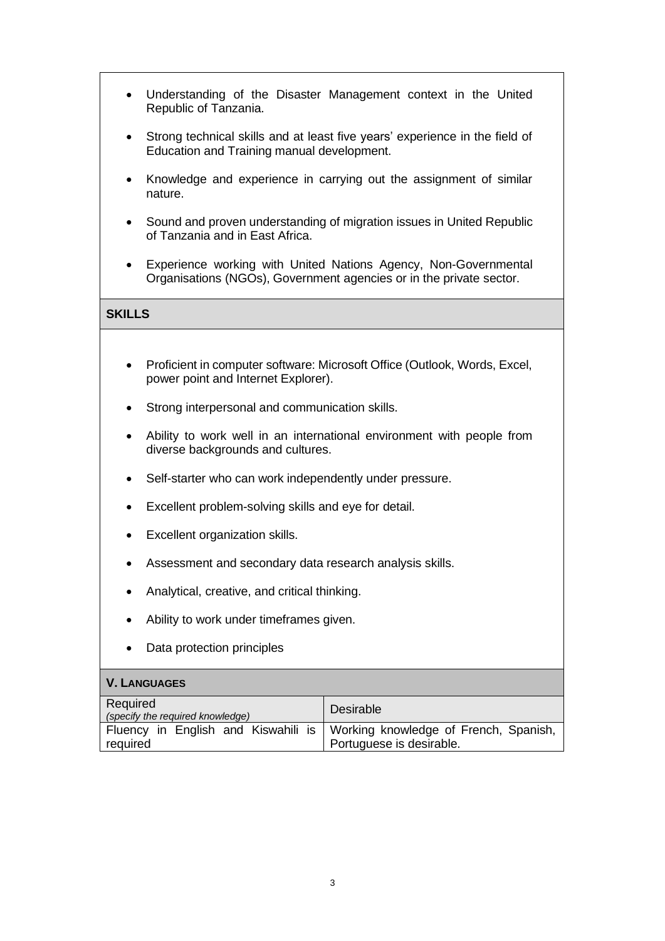- Understanding of the Disaster Management context in the United Republic of Tanzania.
- Strong technical skills and at least five years' experience in the field of Education and Training manual development.
- Knowledge and experience in carrying out the assignment of similar nature.
- Sound and proven understanding of migration issues in United Republic of Tanzania and in East Africa.
- Experience working with United Nations Agency, Non-Governmental Organisations (NGOs), Government agencies or in the private sector.

# **SKILLS**

- Proficient in computer software: Microsoft Office (Outlook, Words, Excel, power point and Internet Explorer).
- Strong interpersonal and communication skills.
- Ability to work well in an international environment with people from diverse backgrounds and cultures.
- Self-starter who can work independently under pressure.
- Excellent problem-solving skills and eye for detail.
- Excellent organization skills.
- Assessment and secondary data research analysis skills.
- Analytical, creative, and critical thinking.
- Ability to work under timeframes given.
- Data protection principles

## **V. LANGUAGES**

| Required<br>(specify the required knowledge) | Desirable                             |
|----------------------------------------------|---------------------------------------|
| Fluency in English and Kiswahili is          | Working knowledge of French, Spanish, |
| required                                     | Portuguese is desirable.              |